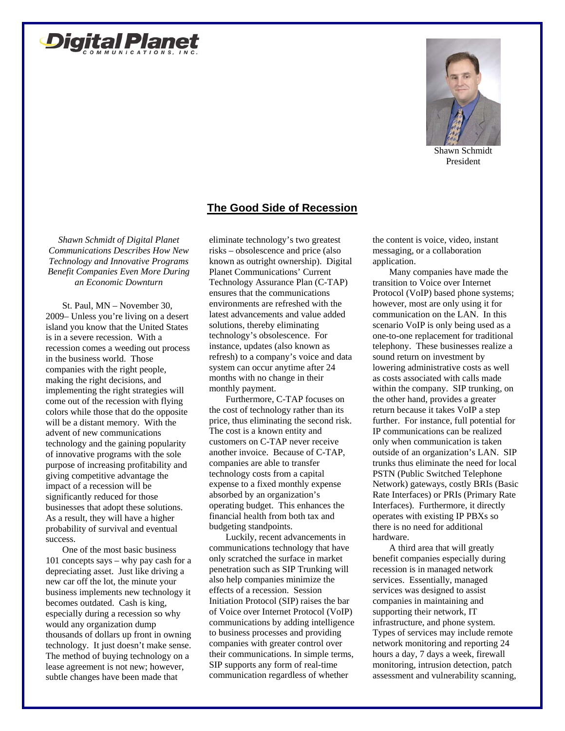



Shawn Schmidt President

## **The Good Side of Recession**

*Shawn Schmidt of Digital Planet Communications Describes How New Technology and Innovative Programs Benefit Companies Even More During an Economic Downturn*

St. Paul, MN – November 30, 2009– Unless you're living on a desert island you know that the United States is in a severe recession. With a recession comes a weeding out process in the business world. Those companies with the right people, making the right decisions, and implementing the right strategies will come out of the recession with flying colors while those that do the opposite will be a distant memory. With the advent of new communications technology and the gaining popularity of innovative programs with the sole purpose of increasing profitability and giving competitive advantage the impact of a recession will be significantly reduced for those businesses that adopt these solutions. As a result, they will have a higher probability of survival and eventual success.

One of the most basic business 101 concepts says – why pay cash for a depreciating asset. Just like driving a new car off the lot, the minute your business implements new technology it becomes outdated. Cash is king, especially during a recession so why would any organization dump thousands of dollars up front in owning technology. It just doesn't make sense. The method of buying technology on a lease agreement is not new; however, subtle changes have been made that

eliminate technology's two greatest risks – obsolescence and price (also known as outright ownership). Digital Planet Communications' Current Technology Assurance Plan (C-TAP) ensures that the communications environments are refreshed with the latest advancements and value added solutions, thereby eliminating technology's obsolescence. For instance, updates (also known as refresh) to a company's voice and data system can occur anytime after 24 months with no change in their monthly payment.

Furthermore, C-TAP focuses on the cost of technology rather than its price, thus eliminating the second risk. The cost is a known entity and customers on C-TAP never receive another invoice. Because of C-TAP, companies are able to transfer technology costs from a capital expense to a fixed monthly expense absorbed by an organization's operating budget. This enhances the financial health from both tax and budgeting standpoints.

Luckily, recent advancements in communications technology that have only scratched the surface in market penetration such as SIP Trunking will also help companies minimize the effects of a recession. Session Initiation Protocol (SIP) raises the bar of Voice over Internet Protocol (VoIP) communications by adding intelligence to business processes and providing companies with greater control over their communications. In simple terms, SIP supports any form of real-time communication regardless of whether

the content is voice, video, instant messaging, or a collaboration application.

Many companies have made the transition to Voice over Internet Protocol (VoIP) based phone systems; however, most are only using it for communication on the LAN. In this scenario VoIP is only being used as a one-to-one replacement for traditional telephony. These businesses realize a sound return on investment by lowering administrative costs as well as costs associated with calls made within the company. SIP trunking, on the other hand, provides a greater return because it takes VoIP a step further. For instance, full potential for IP communications can be realized only when communication is taken outside of an organization's LAN. SIP trunks thus eliminate the need for local PSTN (Public Switched Telephone Network) gateways, costly BRIs (Basic Rate Interfaces) or PRIs (Primary Rate Interfaces). Furthermore, it directly operates with existing IP PBXs so there is no need for additional hardware.

A third area that will greatly benefit companies especially during recession is in managed network services. Essentially, managed services was designed to assist companies in maintaining and supporting their network, IT infrastructure, and phone system. Types of services may include remote network monitoring and reporting 24 hours a day, 7 days a week, firewall monitoring, intrusion detection, patch assessment and vulnerability scanning,